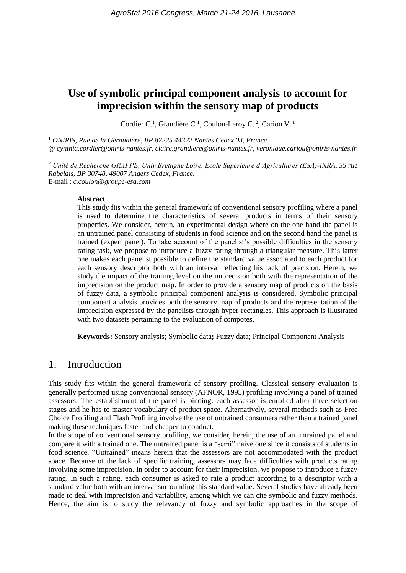# **Use of symbolic principal component analysis to account for imprecision within the sensory map of products**

Cordier C.<sup>1</sup>, Grandière C.<sup>1</sup>, Coulon-Leroy C.<sup>2</sup>, Cariou V.<sup>1</sup>

<sup>1</sup> *ONIRIS, Rue de la Géraudière, BP 82225 44322 Nantes Cedex 03, France* @ *cynthia.cordier@oniris-nantes.fr, claire.grandiere@oniris-nantes.fr, veronique.cariou@oniris-nantes.fr*

<sup>2</sup> *Unité de Recherche GRAPPE, Univ Bretagne Loire, Ecole Supérieure d'Agricultures (ESA)-INRA, 55 rue Rabelais, BP 30748, 49007 Angers Cedex, France.* E-mail : *c.coulon@groupe-esa.com*

#### **Abstract**

This study fits within the general framework of conventional sensory profiling where a panel is used to determine the characteristics of several products in terms of their sensory properties. We consider, herein, an experimental design where on the one hand the panel is an untrained panel consisting of students in food science and on the second hand the panel is trained (expert panel). To take account of the panelist's possible difficulties in the sensory rating task, we propose to introduce a fuzzy rating through a triangular measure. This latter one makes each panelist possible to define the standard value associated to each product for each sensory descriptor both with an interval reflecting his lack of precision. Herein, we study the impact of the training level on the imprecision both with the representation of the imprecision on the product map. In order to provide a sensory map of products on the basis of fuzzy data, a symbolic principal component analysis is considered. Symbolic principal component analysis provides both the sensory map of products and the representation of the imprecision expressed by the panelists through hyper-rectangles. This approach is illustrated with two datasets pertaining to the evaluation of compotes.

**Keywords:** Sensory analysis; Symbolic data**;** Fuzzy data; Principal Component Analysis

# 1. Introduction

This study fits within the general framework of sensory profiling. Classical sensory evaluation is generally performed using conventional sensory (AFNOR, 1995) profiling involving a panel of trained assessors. The establishment of the panel is binding: each assessor is enrolled after three selection stages and he has to master vocabulary of product space. Alternatively, several methods such as Free Choice Profiling and Flash Profiling involve the use of untrained consumers rather than a trained panel making these techniques faster and cheaper to conduct.

In the scope of conventional sensory profiling, we consider, herein, the use of an untrained panel and compare it with a trained one. The untrained panel is a "semi" naive one since it consists of students in food science. "Untrained" means herein that the assessors are not accommodated with the product space. Because of the lack of specific training, assessors may face difficulties with products rating involving some imprecision. In order to account for their imprecision, we propose to introduce a fuzzy rating. In such a rating, each consumer is asked to rate a product according to a descriptor with a standard value both with an interval surrounding this standard value. Several studies have already been made to deal with imprecision and variability, among which we can cite symbolic and fuzzy methods. Hence, the aim is to study the relevancy of fuzzy and symbolic approaches in the scope of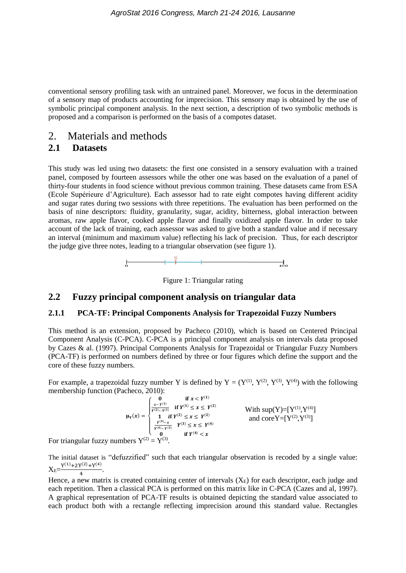conventional sensory profiling task with an untrained panel. Moreover, we focus in the determination of a sensory map of products accounting for imprecision. This sensory map is obtained by the use of symbolic principal component analysis. In the next section, a description of two symbolic methods is proposed and a comparison is performed on the basis of a compotes dataset.

# 2. Materials and methods

### **2.1 Datasets**

This study was led using two datasets: the first one consisted in a sensory evaluation with a trained panel, composed by fourteen assessors while the other one was based on the evaluation of a panel of thirty-four students in food science without previous common training. These datasets came from ESA (Ecole Supérieure d'Agriculture). Each assessor had to rate eight compotes having different acidity and sugar rates during two sessions with three repetitions. The evaluation has been performed on the basis of nine descriptors: fluidity, granularity, sugar, acidity, bitterness, global interaction between aromas, raw apple flavor, cooked apple flavor and finally oxidized apple flavor. In order to take account of the lack of training, each assessor was asked to give both a standard value and if necessary an interval (minimum and maximum value) reflecting his lack of precision. Thus, for each descriptor the judge give three notes, leading to a triangular observation (see figure 1).





# **2.2 Fuzzy principal component analysis on triangular data**

### **2.1.1 PCA-TF: Principal Components Analysis for Trapezoidal Fuzzy Numbers**

This method is an extension, proposed by Pacheco (2010), which is based on Centered Principal Component Analysis (C-PCA). C-PCA is a principal component analysis on intervals data proposed by Cazes & al. (1997). Principal Components Analysis for Trapezoidal or Triangular Fuzzy Numbers (PCA-TF) is performed on numbers defined by three or four figures which define the support and the core of these fuzzy numbers.

For example, a trapezoidal fuzzy number Y is defined by  $Y = (Y^{(1)}, Y^{(2)}, Y^{(3)}, Y^{(4)})$  with the following membership function (Pacheco, 2010):

 $\mu_Y(x) =$ {  $\mathbf{I}$  $\mathbf{I}$  $\overline{1}$  $\int_{-x-y^{(1)}}^{0}$  if  $x < Y^{(1)}$  $x - Y^{(1)}$  $\frac{x-Y^{(1)}}{Y^{(2)}-Y^{(1)}}$  if  $Y^{(1)} \leq x \leq Y^{(2)}$ 1 if  $Y^{(2)} \le x \le Y^{(2)}$  $\frac{Y^{(4)}-x}{Y^{(4)}-Y^{(3)}}$   $Y^{(3)} \leq x \leq Y^{(4)}$ 0 if  $Y^{(4)} < x$ With  $sup(Y) = [Y^{(1)}, Y^{(4)}]$ and core  $Y = [Y^{(2)}, Y^{(3)}]$ 

For triangular fuzzy numbers  $Y^{(2)} = Y^{(3)}$ .

The initial dataset is "defuzzified" such that each triangular observation is recoded by a single value:  $X_E = \frac{Y^{(1)} + 2Y^{(2)} + Y^{(4)}}{4}$  $\frac{1+\sqrt{71}}{4}$ .

Hence, a new matrix is created containing center of intervals  $(X_E)$  for each descriptor, each judge and each repetition. Then a classical PCA is performed on this matrix like in C-PCA (Cazes and al, 1997). A graphical representation of PCA-TF results is obtained depicting the standard value associated to each product both with a rectangle reflecting imprecision around this standard value. Rectangles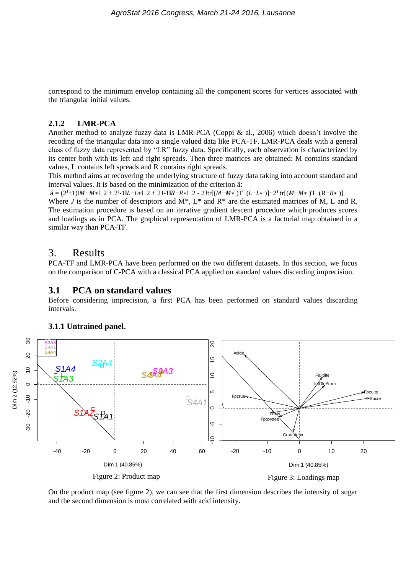correspond to the minimum envelop containing all the component scores for vertices associated with the triangular initial values.

#### **2.1.2 LMR-PCA**

Another method to analyze fuzzy data is LMR-PCA (Coppi & al., 2006) which doesn't involve the recoding of the triangular data into a single valued data like PCA-TF. LMR-PCA deals with a general class of fuzzy data represented by "LR" fuzzy data. Specifically, each observation is characterized by its center both with its left and right spreads. Then three matrices are obtained: M contains standard values, L contains left spreads and R contains right spreads.

This method aims at recovering the underlying structure of fuzzy data taking into account standard and interval values. It is based on the minimization of the criterion ä:

 $\ddot{a} = (2^{J}+1)|M-M*|$  2 + 2<sup>J</sup>-1|L-L\*| 2 + 2J-1|R-R\*| 2 - 2Jtr[(M-M\*)T (L-L\*)]+2<sup>J</sup> tr[(M-M\*)T (R-R\*)] Where *J* is the number of descriptors and  $M^*$ ,  $L^*$  and  $R^*$  are the estimated matrices of M, L and R. The estimation procedure is based on an iterative gradient descent procedure which produces scores and loadings as in PCA. The graphical representation of LMR-PCA is a factorial map obtained in a similar way than PCA-TF.

### 3. Results

PCA-TF and LMR-PCA have been performed on the two different datasets. In this section, we focus on the comparison of C-PCA with a classical PCA applied on standard values discarding imprecision.

#### **3.1 PCA on standard values**

Before considering imprecision, a first PCA has been performed on standard values discarding intervals.



### **3.1.1 Untrained panel.**

On the product map (see figure 2), we can see that the first dimension describes the intensity of sugar and the second dimension is most correlated with acid intensity.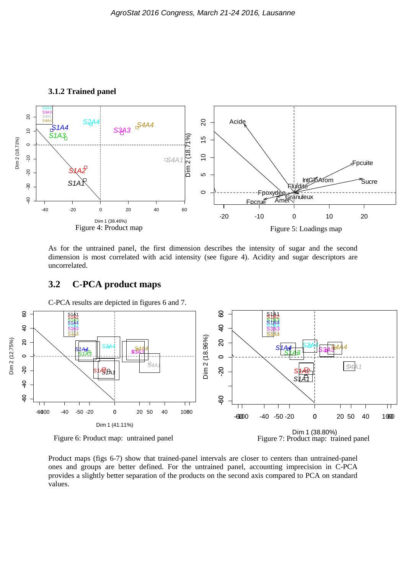

As for the untrained panel, the first dimension describes the intensity of sugar and the second dimension is most correlated with acid intensity (see figure 4). Acidity and sugar descriptors are uncorrelated.

### **3.2 C-PCA product maps**

C-PCA results are depicted in figures 6 and 7.



Figure 6: Product map: untrained panel

Dim 1 (38.80%)<br>Figure 7: Product map: trained panel

Product maps (figs 6-7) show that trained-panel intervals are closer to centers than untrained-panel ones and groups are better defined. For the untrained panel, accounting imprecision in C-PCA provides a slightly better separation of the products on the second axis compared to PCA on standard values.